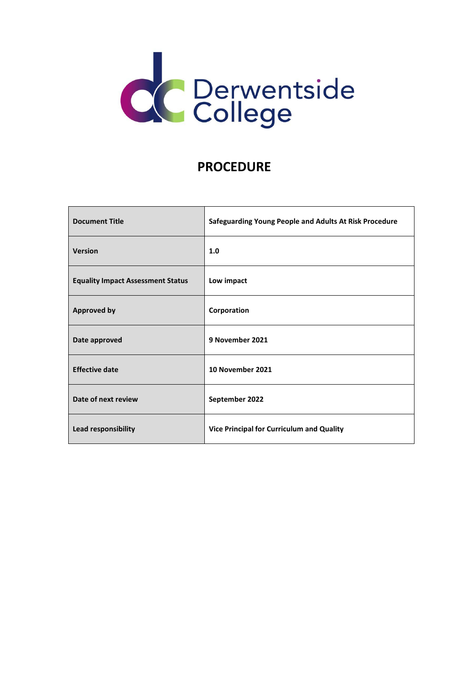

# **PROCEDURE**

| <b>Document Title</b>                    | Safeguarding Young People and Adults At Risk Procedure |
|------------------------------------------|--------------------------------------------------------|
| <b>Version</b>                           | 1.0                                                    |
| <b>Equality Impact Assessment Status</b> | Low impact                                             |
| <b>Approved by</b>                       | Corporation                                            |
| Date approved                            | 9 November 2021                                        |
| <b>Effective date</b>                    | 10 November 2021                                       |
| Date of next review                      | September 2022                                         |
| Lead responsibility                      | Vice Principal for Curriculum and Quality              |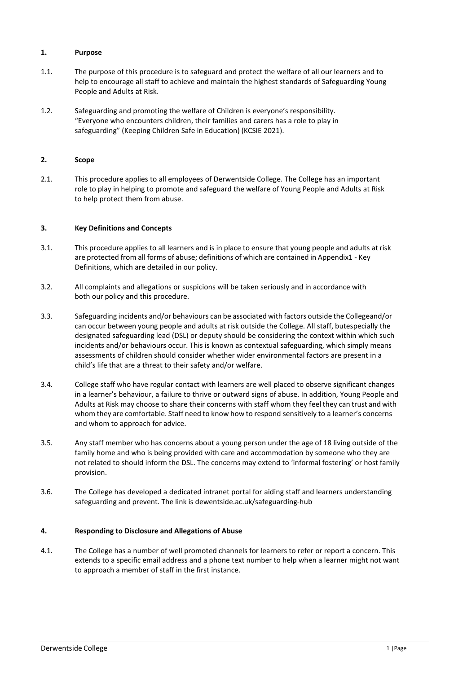## **1. Purpose**

- 1.1. The purpose of this procedure is to safeguard and protect the welfare of all our learners and to help to encourage all staff to achieve and maintain the highest standards of Safeguarding Young People and Adults at Risk.
- 1.2. Safeguarding and promoting the welfare of Children is everyone's responsibility. "Everyone who encounters children, their families and carers has a role to play in safeguarding" (Keeping Children Safe in Education) (KCSIE 2021).

## **2. Scope**

2.1. This procedure applies to all employees of Derwentside College. The College has an important role to play in helping to promote and safeguard the welfare of Young People and Adults at Risk to help protect them from abuse.

## **3. Key Definitions and Concepts**

- 3.1. This procedure applies to all learners and is in place to ensure that young people and adults at risk are protected from all forms of abuse; definitions of which are contained in Appendix1 - Key Definitions, which are detailed in our policy.
- 3.2. All complaints and allegations or suspicions will be taken seriously and in accordance with both our policy and this procedure.
- 3.3. Safeguarding incidents and/or behaviours can be associated with factors outside the Collegeand/or can occur between young people and adults at risk outside the College. All staff, butespecially the designated safeguarding lead (DSL) or deputy should be considering the context within which such incidents and/or behaviours occur. This is known as contextual safeguarding, which simply means assessments of children should consider whether wider environmental factors are present in a child's life that are a threat to their safety and/or welfare.
- 3.4. College staff who have regular contact with learners are well placed to observe significant changes in a learner's behaviour, a failure to thrive or outward signs of abuse. In addition, Young People and Adults at Risk may choose to share their concerns with staff whom they feel they can trust and with whom they are comfortable. Staff need to know how to respond sensitively to a learner's concerns and whom to approach for advice.
- 3.5. Any staff member who has concerns about a young person under the age of 18 living outside of the family home and who is being provided with care and accommodation by someone who they are not related to should inform the DSL. The concerns may extend to 'informal fostering' or host family provision.
- 3.6. The College has developed a dedicated intranet portal for aiding staff and learners understanding safeguarding and prevent. The link is dewentside.ac.uk/safeguarding-hub

## **4. Responding to Disclosure and Allegations of Abuse**

4.1. The College has a number of well promoted channels for learners to refer or report a concern. This extends to a specific email address and a phone text number to help when a learner might not want to approach a member of staff in the first instance.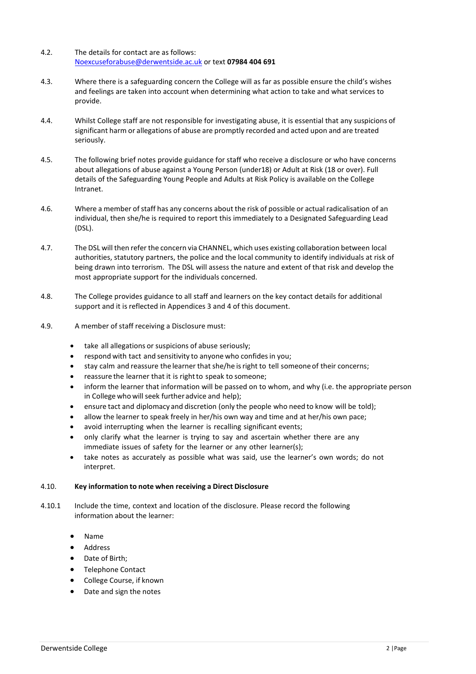- 4.2. The details for contact are as follows: [Noexcuseforabuse@derwentside.ac.uk](mailto:Noexcuseforabuse@derwentside.ac.uk) or text **07984 404 691**
- 4.3. Where there is a safeguarding concern the College will as far as possible ensure the child's wishes and feelings are taken into account when determining what action to take and what services to provide.
- 4.4. Whilst College staff are not responsible for investigating abuse, it is essential that any suspicions of significant harm or allegations of abuse are promptly recorded and acted upon and are treated seriously.
- 4.5. The following brief notes provide guidance for staff who receive a disclosure or who have concerns about allegations of abuse against a Young Person (under18) or Adult at Risk (18 or over). Full details of the Safeguarding Young People and Adults at Risk Policy is available on the College Intranet.
- 4.6. Where a member ofstaff has any concerns about the risk of possible or actual radicalisation of an individual, then she/he is required to report this immediately to a Designated Safeguarding Lead (DSL).
- 4.7. The DSL will then refer the concern via CHANNEL, which uses existing collaboration between local authorities, statutory partners, the police and the local community to identify individuals at risk of being drawn into terrorism. The DSL will assess the nature and extent of that risk and develop the most appropriate support for the individuals concerned.
- 4.8. The College provides guidance to all staff and learners on the key contact details for additional support and it is reflected in Appendices 3 and 4 of this document.
- 4.9. A member of staff receiving a Disclosure must:
	- take all allegations or suspicions of abuse seriously;
	- respond with tact and sensitivity to anyone who confides in you;
	- stay calm and reassure the learner that she/he isright to tell someoneof their concerns;
	- reassure the learner that it is right to speak to someone;
	- inform the learner that information will be passed on to whom, and why (i.e. the appropriate person in College who will seek further advice and help);
	- ensure tact and diplomacy and discretion (only the people who need to know will be told);
	- allow the learner to speak freely in her/his own way and time and at her/his own pace;
	- avoid interrupting when the learner is recalling significant events;
	- only clarify what the learner is trying to say and ascertain whether there are any immediate issues of safety for the learner or any other learner(s);
	- take notes as accurately as possible what was said, use the learner's own words; do not interpret.

## 4.10. **Key information to note when receiving a Direct Disclosure**

- 4.10.1 Include the time, context and location of the disclosure. Please record the following information about the learner:
	- Name
	- Address
	- Date of Birth;
	- Telephone Contact
	- College Course, if known
	- Date and sign the notes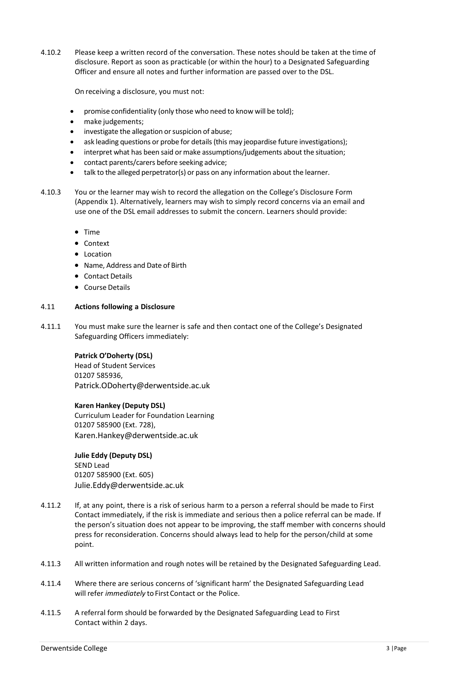4.10.2 Please keep a written record of the conversation. These notes should be taken at the time of disclosure. Report as soon as practicable (or within the hour) to a Designated Safeguarding Officer and ensure all notes and further information are passed over to the DSL.

On receiving a disclosure, you must not:

- promise confidentiality (only those who need to know will be told);
- make judgements;
- investigate the allegation or suspicion of abuse;
- ask leading questions or probe for details (this may jeopardise future investigations);
- interpret what has been said or make assumptions/judgements about the situation;
- contact parents/carers before seeking advice;
- talk to the alleged perpetrator(s) or pass on any information about the learner.
- 4.10.3 You or the learner may wish to record the allegation on the College's Disclosure Form (Appendix 1). Alternatively, learners may wish to simply record concerns via an email and use one of the DSL email addresses to submit the concern. Learners should provide:
	- Time
	- Context
	- Location
	- Name, Address and Date of Birth
	- Contact Details
	- Course Details

## 4.11 **Actions following a Disclosure**

4.11.1 You must make sure the learner is safe and then contact one of the College's Designated Safeguarding Officers immediately:

## **Patrick O'Doherty (DSL)**

Head of Student Services 01207 585936, [Patrick.ODoherty@derwentside.ac.uk](mailto:Patrick.ODoherty@derwentside.ac.uk)

## **Karen Hankey (Deputy DSL)**

Curriculum Leader for Foundation Learning 01207 585900 (Ext. 728), [Karen.Hankey@derwentside.ac.uk](mailto:Karen.Hankey@derwentside.ac.uk)

## **Julie Eddy (Deputy DSL)**

SEND Lead 01207 585900 (Ext. 605) [Julie.Eddy@derwentside.ac.uk](mailto:Julie.Eddy@derwentside.ac.uk)

- 4.11.2 If, at any point, there is a risk of serious harm to a person a referral should be made to First Contact immediately, if the risk is immediate and serious then a police referral can be made. If the person's situation does not appear to be improving, the staff member with concerns should press for reconsideration. Concerns should always lead to help for the person/child at some point.
- 4.11.3 All written information and rough notes will be retained by the Designated Safeguarding Lead.
- 4.11.4 Where there are serious concerns of 'significant harm' the Designated Safeguarding Lead will refer *immediately* to First Contact or the Police.
- 4.11.5 A referral form should be forwarded by the Designated Safeguarding Lead to First Contact within 2 days.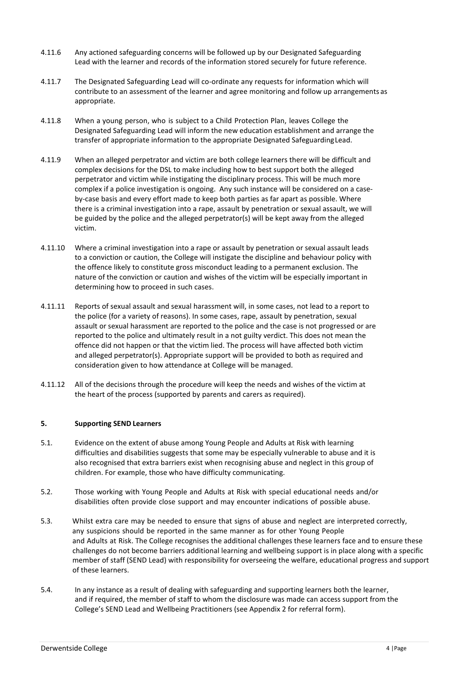- 4.11.6 Any actioned safeguarding concerns will be followed up by our Designated Safeguarding Lead with the learner and records of the information stored securely for future reference.
- 4.11.7 The Designated Safeguarding Lead will co-ordinate any requests for information which will contribute to an assessment of the learner and agree monitoring and follow up arrangements as appropriate.
- 4.11.8 When a young person, who is subject to a Child Protection Plan, leaves College the Designated Safeguarding Lead will inform the new education establishment and arrange the transfer of appropriate information to the appropriate Designated SafeguardingLead.
- 4.11.9 When an alleged perpetrator and victim are both college learners there will be difficult and complex decisions for the DSL to make including how to best support both the alleged perpetrator and victim while instigating the disciplinary process. This will be much more complex if a police investigation is ongoing. Any such instance will be considered on a caseby-case basis and every effort made to keep both parties as far apart as possible. Where there is a criminal investigation into a rape, assault by penetration or sexual assault, we will be guided by the police and the alleged perpetrator(s) will be kept away from the alleged victim.
- 4.11.10 Where a criminal investigation into a rape or assault by penetration or sexual assault leads to a conviction or caution, the College will instigate the discipline and behaviour policy with the offence likely to constitute gross misconduct leading to a permanent exclusion. The nature of the conviction or caution and wishes of the victim will be especially important in determining how to proceed in such cases.
- 4.11.11 Reports of sexual assault and sexual harassment will, in some cases, not lead to a report to the police (for a variety of reasons). In some cases, rape, assault by penetration, sexual assault or sexual harassment are reported to the police and the case is not progressed or are reported to the police and ultimately result in a not guilty verdict. This does not mean the offence did not happen or that the victim lied. The process will have affected both victim and alleged perpetrator(s). Appropriate support will be provided to both as required and consideration given to how attendance at College will be managed.
- 4.11.12 All of the decisions through the procedure will keep the needs and wishes of the victim at the heart of the process (supported by parents and carers as required).

## **5. Supporting SEND Learners**

- 5.1. Evidence on the extent of abuse among Young People and Adults at Risk with learning difficulties and disabilities suggests that some may be especially vulnerable to abuse and it is also recognised that extra barriers exist when recognising abuse and neglect in this group of children. For example, those who have difficulty communicating.
- 5.2. Those working with Young People and Adults at Risk with special educational needs and/or disabilities often provide close support and may encounter indications of possible abuse.
- 5.3. Whilst extra care may be needed to ensure that signs of abuse and neglect are interpreted correctly, any suspicions should be reported in the same manner as for other Young People and Adults at Risk. The College recognises the additional challenges these learners face and to ensure these challenges do not become barriers additional learning and wellbeing support is in place along with a specific member of staff (SEND Lead) with responsibility for overseeing the welfare, educational progress and support of these learners.
- 5.4. In any instance as a result of dealing with safeguarding and supporting learners both the learner, and if required, the member of staff to whom the disclosure was made can access support from the College's SEND Lead and Wellbeing Practitioners (see Appendix 2 for referral form).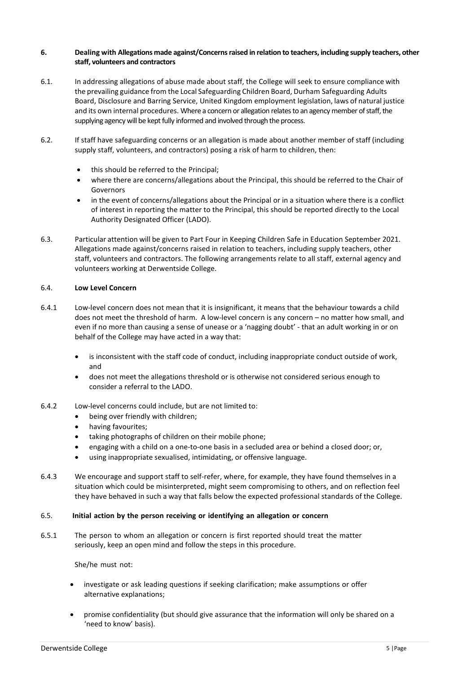## **6. Dealing with Allegations made against/Concerns raised in relation to teachers, including supply teachers, other staff, volunteers and contractors**

- 6.1. In addressing allegations of abuse made about staff, the College will seek to ensure compliance with the prevailing guidance from the Local Safeguarding Children Board, Durham Safeguarding Adults Board, Disclosure and Barring Service, United Kingdom employment legislation, laws of natural justice and its own internal procedures. Where a concern or allegation relates to an agency member of staff, the supplying agency will be kept fully informed and involved through the process.
- 6.2. If staff have safeguarding concerns or an allegation is made about another member of staff (including supply staff, volunteers, and contractors) posing a risk of harm to children, then:
	- this should be referred to the Principal;
	- where there are concerns/allegations about the Principal, this should be referred to the Chair of Governors
	- in the event of concerns/allegations about the Principal or in a situation where there is a conflict of interest in reporting the matter to the Principal, this should be reported directly to the Local Authority Designated Officer (LADO).
- 6.3. Particular attention will be given to Part Four in Keeping Children Safe in Education September 2021. Allegations made against/concerns raised in relation to teachers, including supply teachers, other staff, volunteers and contractors. The following arrangements relate to all staff, external agency and volunteers working at Derwentside College.

## 6.4. **Low Level Concern**

- 6.4.1 Low-level concern does not mean that it is insignificant, it means that the behaviour towards a child does not meet the threshold of harm. A low-level concern is any concern – no matter how small, and even if no more than causing a sense of unease or a 'nagging doubt' - that an adult working in or on behalf of the College may have acted in a way that:
	- is inconsistent with the staff code of conduct, including inappropriate conduct outside of work, and
	- does not meet the allegations threshold or is otherwise not considered serious enough to consider a referral to the LADO.
- 6.4.2 Low-level concerns could include, but are not limited to:
	- being over friendly with children;
	- having favourites;
	- taking photographs of children on their mobile phone;
	- engaging with a child on a one-to-one basis in a secluded area or behind a closed door; or,
	- using inappropriate sexualised, intimidating, or offensive language.
- 6.4.3 We encourage and support staff to self-refer, where, for example, they have found themselves in a situation which could be misinterpreted, might seem compromising to others, and on reflection feel they have behaved in such a way that falls below the expected professional standards of the College.

## 6.5. **Initial action by the person receiving or identifying an allegation or concern**

6.5.1 The person to whom an allegation or concern is first reported should treat the matter seriously, keep an open mind and follow the steps in this procedure.

She/he must not:

- investigate or ask leading questions if seeking clarification; make assumptions or offer alternative explanations;
- promise confidentiality (but should give assurance that the information will only be shared on a 'need to know' basis).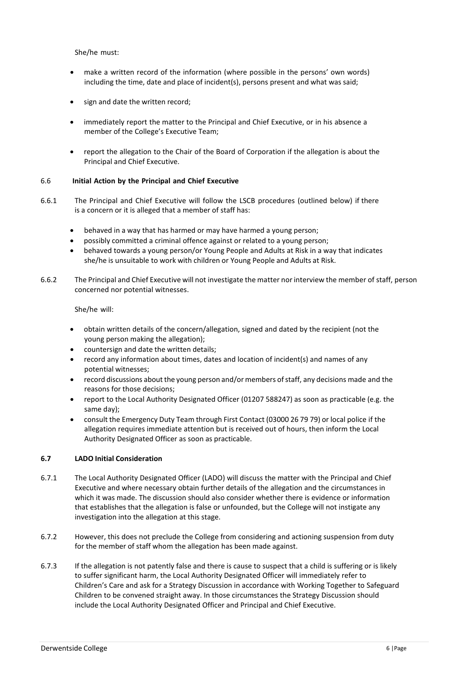She/he must:

- make a written record of the information (where possible in the persons' own words) including the time, date and place of incident(s), persons present and what was said;
- sign and date the written record;
- immediately report the matter to the Principal and Chief Executive, or in his absence a member of the College's Executive Team;
- report the allegation to the Chair of the Board of Corporation if the allegation is about the Principal and Chief Executive.

## 6.6 **Initial Action by the Principal and Chief Executive**

- 6.6.1 The Principal and Chief Executive will follow the LSCB procedures (outlined below) if there is a concern or it is alleged that a member of staff has:
	- behaved in a way that has harmed or may have harmed a young person;
	- possibly committed a criminal offence against or related to a young person;
	- behaved towards a young person/or Young People and Adults at Risk in a way that indicates she/he is unsuitable to work with children or Young People and Adults at Risk.
- 6.6.2 The Principal and Chief Executive will not investigate the matter nor interview the member of staff, person concerned nor potential witnesses.

She/he will:

- obtain written details of the concern/allegation, signed and dated by the recipient (not the young person making the allegation);
- countersign and date the written details;
- record any information about times, dates and location of incident(s) and names of any potential witnesses;
- record discussions about the young person and/or members of staff, any decisions made and the reasons for those decisions;
- report to the Local Authority Designated Officer (01207 588247) as soon as practicable (e.g. the same day);
- consult the Emergency Duty Team through First Contact (03000 26 79 79) or local police if the allegation requires immediate attention but is received out of hours, then inform the Local Authority Designated Officer as soon as practicable.

## **6.7 LADO Initial Consideration**

- 6.7.1 The Local Authority Designated Officer (LADO) will discuss the matter with the Principal and Chief Executive and where necessary obtain further details of the allegation and the circumstances in which it was made. The discussion should also consider whether there is evidence or information that establishes that the allegation is false or unfounded, but the College will not instigate any investigation into the allegation at this stage.
- 6.7.2 However, this does not preclude the College from considering and actioning suspension from duty for the member of staff whom the allegation has been made against.
- 6.7.3 If the allegation is not patently false and there is cause to suspect that a child is suffering or is likely to suffer significant harm, the Local Authority Designated Officer will immediately refer to Children's Care and ask for a Strategy Discussion in accordance with Working Together to Safeguard Children to be convened straight away. In those circumstances the Strategy Discussion should include the Local Authority Designated Officer and Principal and Chief Executive.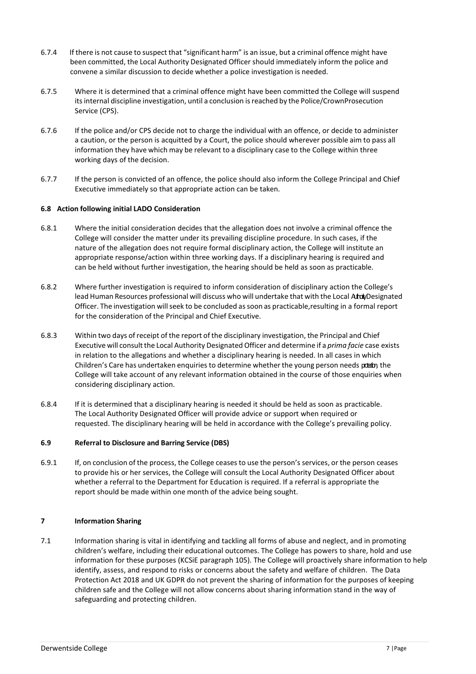- 6.7.4 If there is not cause to suspect that "significant harm" is an issue, but a criminal offence might have been committed, the Local Authority Designated Officer should immediately inform the police and convene a similar discussion to decide whether a police investigation is needed.
- 6.7.5 Where it is determined that a criminal offence might have been committed the College will suspend its internal discipline investigation, until a conclusion is reached by the Police/CrownProsecution Service (CPS).
- 6.7.6 If the police and/or CPS decide not to charge the individual with an offence, or decide to administer a caution, or the person is acquitted by a Court, the police should wherever possible aim to pass all information they have which may be relevant to a disciplinary case to the College within three working days of the decision.
- 6.7.7 If the person is convicted of an offence, the police should also inform the College Principal and Chief Executive immediately so that appropriate action can be taken.

## **6.8 Action following initial LADO Consideration**

- 6.8.1 Where the initial consideration decides that the allegation does not involve a criminal offence the College will consider the matter under its prevailing discipline procedure. In such cases, if the nature of the allegation does not require formal disciplinary action, the College will institute an appropriate response/action within three working days. If a disciplinary hearing is required and can be held without further investigation, the hearing should be held as soon as practicable.
- 6.8.2 Where further investigation is required to inform consideration of disciplinary action the College's lead Human Resources professional will discuss who will undertake that with the Local AtutyDesignated Officer. The investigation willseek to be concluded assoon as practicable,resulting in a formal report for the consideration of the Principal and Chief Executive.
- 6.8.3 Within two days of receipt of the report of the disciplinary investigation, the Principal and Chief Executive will consult the Local Authority Designated Officer and determine if a *prima facie* case exists in relation to the allegations and whether a disciplinary hearing is needed. In all cases in which Children's Care has undertaken enquiries to determine whether the young person needs poeting the College will take account of any relevant information obtained in the course of those enquiries when considering disciplinary action.
- 6.8.4 If it is determined that a disciplinary hearing is needed it should be held as soon as practicable. The Local Authority Designated Officer will provide advice or support when required or requested. The disciplinary hearing will be held in accordance with the College's prevailing policy.

## **6.9 Referral to Disclosure and Barring Service (DBS)**

6.9.1 If, on conclusion of the process, the College ceases to use the person's services, or the person ceases to provide his or her services, the College will consult the Local Authority Designated Officer about whether a referral to the Department for Education is required. If a referral is appropriate the report should be made within one month of the advice being sought.

## **7 Information Sharing**

7.1 Information sharing is vital in identifying and tackling all forms of abuse and neglect, and in promoting children's welfare, including their educational outcomes. The College has powers to share, hold and use information for these purposes (KCSiE paragraph 105). The College will proactively share information to help identify, assess, and respond to risks or concerns about the safety and welfare of children. The Data Protection Act 2018 and UK GDPR do not prevent the sharing of information for the purposes of keeping children safe and the College will not allow concerns about sharing information stand in the way of safeguarding and protecting children.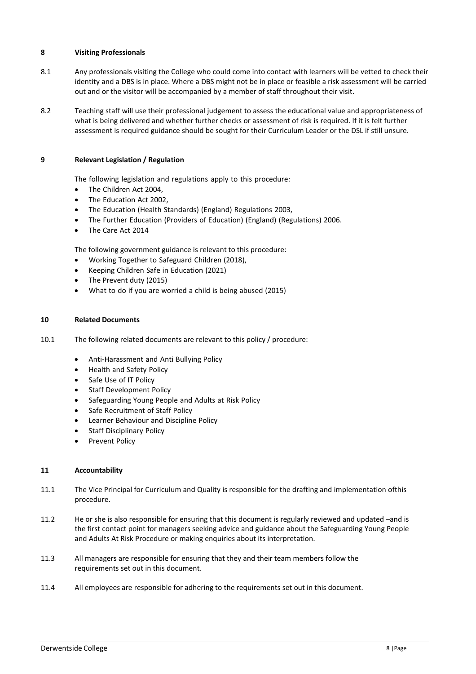## **8 Visiting Professionals**

- 8.1 Any professionals visiting the College who could come into contact with learners will be vetted to check their identity and a DBS is in place. Where a DBS might not be in place or feasible a risk assessment will be carried out and or the visitor will be accompanied by a member of staff throughout their visit.
- 8.2 Teaching staff will use their professional judgement to assess the educational value and appropriateness of what is being delivered and whether further checks or assessment of risk is required. If it is felt further assessment is required guidance should be sought for their Curriculum Leader or the DSL if still unsure.

## **9 Relevant Legislation / Regulation**

The following legislation and regulations apply to this procedure:

- The Children Act 2004.
- The Education Act 2002.
- The Education (Health Standards) (England) Regulations 2003,
- The Further Education (Providers of Education) (England) (Regulations) 2006.
- The Care Act 2014

The following government guidance is relevant to this procedure:

- Working Together to Safeguard Children (2018),
- Keeping Children Safe in Education (2021)
- The Prevent duty (2015)
- What to do if you are worried a child is being abused (2015)

## **10 Related Documents**

- 10.1 The following related documents are relevant to this policy / procedure:
	- Anti-Harassment and Anti Bullying Policy
	- Health and Safety Policy
	- Safe Use of IT Policy
	- Staff Development Policy
	- Safeguarding Young People and Adults at Risk Policy
	- Safe Recruitment of Staff Policy
	- Learner Behaviour and Discipline Policy
	- Staff Disciplinary Policy
	- Prevent Policy

## **11 Accountability**

- 11.1 The Vice Principal for Curriculum and Quality is responsible for the drafting and implementation ofthis procedure.
- 11.2 He or she is also responsible for ensuring that this document is regularly reviewed and updated –and is the first contact point for managers seeking advice and guidance about the Safeguarding Young People and Adults At Risk Procedure or making enquiries about its interpretation.
- 11.3 All managers are responsible for ensuring that they and their team members follow the requirements set out in this document.
- 11.4 All employees are responsible for adhering to the requirements set out in this document.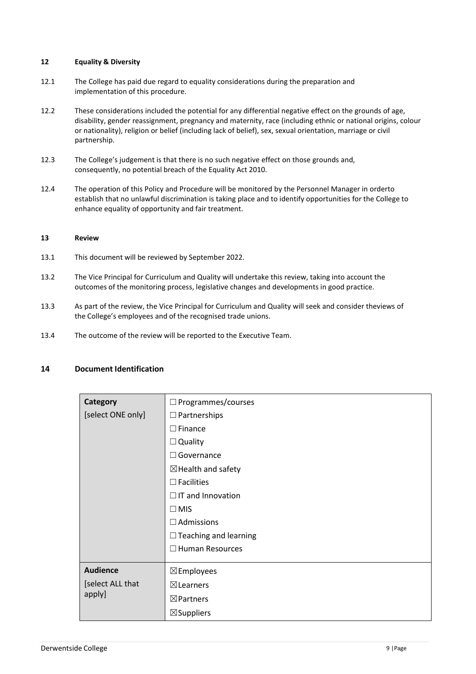## **12 Equality & Diversity**

- 12.1 The College has paid due regard to equality considerations during the preparation and implementation of this procedure.
- 12.2 These considerations included the potential for any differential negative effect on the grounds of age, disability, gender reassignment, pregnancy and maternity, race (including ethnic or national origins, colour or nationality), religion or belief (including lack of belief), sex, sexual orientation, marriage or civil partnership.
- 12.3 The College's judgement is that there is no such negative effect on those grounds and, consequently, no potential breach of the Equality Act 2010.
- 12.4 The operation of this Policy and Procedure will be monitored by the Personnel Manager in orderto establish that no unlawful discrimination is taking place and to identify opportunities for the College to enhance equality of opportunity and fair treatment.

## **13 Review**

- 13.1 This document will be reviewed by September 2022.
- 13.2 The Vice Principal for Curriculum and Quality will undertake this review, taking into account the outcomes of the monitoring process, legislative changes and developments in good practice.
- 13.3 As part of the review, the Vice Principal for Curriculum and Quality will seek and consider theviews of the College's employees and of the recognised trade unions.
- 13.4 The outcome of the review will be reported to the Executive Team.

## **14 Document Identification**

| Category          | $\Box$ Programmes/courses     |  |  |  |  |
|-------------------|-------------------------------|--|--|--|--|
| [select ONE only] | $\Box$ Partnerships           |  |  |  |  |
|                   | $\Box$ Finance                |  |  |  |  |
|                   | $\Box$ Quality                |  |  |  |  |
|                   | $\Box$ Governance             |  |  |  |  |
|                   | $\boxtimes$ Health and safety |  |  |  |  |
|                   | $\Box$ Facilities             |  |  |  |  |
|                   | $\Box$ IT and Innovation      |  |  |  |  |
|                   | $\square$ MIS                 |  |  |  |  |
|                   | $\Box$ Admissions             |  |  |  |  |
|                   | $\Box$ Teaching and learning  |  |  |  |  |
|                   | $\Box$ Human Resources        |  |  |  |  |
| <b>Audience</b>   |                               |  |  |  |  |
|                   | $\boxtimes$ Employees         |  |  |  |  |
| [select ALL that  | $\boxtimes$ Learners          |  |  |  |  |
| apply]            | $\boxtimes$ Partners          |  |  |  |  |
|                   | $\boxtimes$ Suppliers         |  |  |  |  |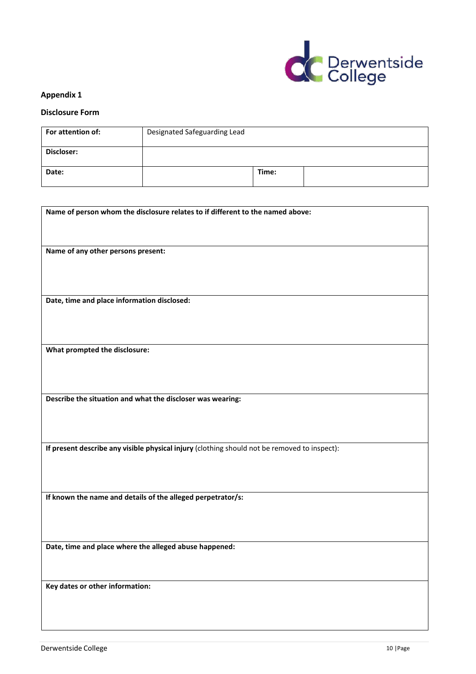

## **Appendix 1**

## **Disclosure Form**

| For attention of: | Designated Safeguarding Lead |       |  |
|-------------------|------------------------------|-------|--|
| Discloser:        |                              |       |  |
| Date:             |                              | Time: |  |

| Name of person whom the disclosure relates to if different to the named above:               |
|----------------------------------------------------------------------------------------------|
|                                                                                              |
|                                                                                              |
|                                                                                              |
| Name of any other persons present:                                                           |
|                                                                                              |
|                                                                                              |
|                                                                                              |
| Date, time and place information disclosed:                                                  |
|                                                                                              |
|                                                                                              |
|                                                                                              |
|                                                                                              |
| What prompted the disclosure:                                                                |
|                                                                                              |
|                                                                                              |
|                                                                                              |
| Describe the situation and what the discloser was wearing:                                   |
|                                                                                              |
|                                                                                              |
|                                                                                              |
|                                                                                              |
| If present describe any visible physical injury (clothing should not be removed to inspect): |
|                                                                                              |
|                                                                                              |
|                                                                                              |
|                                                                                              |
| If known the name and details of the alleged perpetrator/s:                                  |
|                                                                                              |
|                                                                                              |
|                                                                                              |
| Date, time and place where the alleged abuse happened:                                       |
|                                                                                              |
|                                                                                              |
|                                                                                              |
| Key dates or other information:                                                              |
|                                                                                              |
|                                                                                              |
|                                                                                              |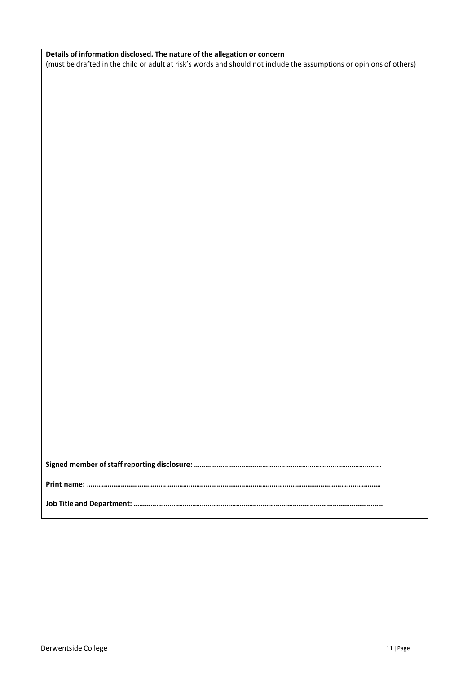| Details of information disclosed. The nature of the allegation or concern                                            |  |
|----------------------------------------------------------------------------------------------------------------------|--|
| (must be drafted in the child or adult at risk's words and should not include the assumptions or opinions of others) |  |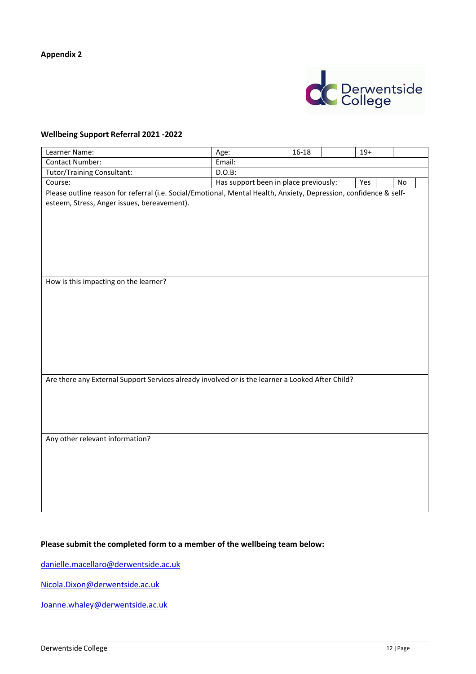

## **Wellbeing Support Referral 2021 -2022**

| Learner Name:                                                                                                     | Age:                                               | $16 - 18$ |  | $19+$ |  |  |
|-------------------------------------------------------------------------------------------------------------------|----------------------------------------------------|-----------|--|-------|--|--|
| Contact Number:                                                                                                   | Email:                                             |           |  |       |  |  |
| <b>Tutor/Training Consultant:</b>                                                                                 | $D.O.B$ :                                          |           |  |       |  |  |
| Course:                                                                                                           | Has support been in place previously:<br>Yes<br>No |           |  |       |  |  |
| Please outline reason for referral (i.e. Social/Emotional, Mental Health, Anxiety, Depression, confidence & self- |                                                    |           |  |       |  |  |
| esteem, Stress, Anger issues, bereavement).                                                                       |                                                    |           |  |       |  |  |
|                                                                                                                   |                                                    |           |  |       |  |  |
|                                                                                                                   |                                                    |           |  |       |  |  |
|                                                                                                                   |                                                    |           |  |       |  |  |
|                                                                                                                   |                                                    |           |  |       |  |  |
|                                                                                                                   |                                                    |           |  |       |  |  |
|                                                                                                                   |                                                    |           |  |       |  |  |
| How is this impacting on the learner?                                                                             |                                                    |           |  |       |  |  |
|                                                                                                                   |                                                    |           |  |       |  |  |
|                                                                                                                   |                                                    |           |  |       |  |  |
|                                                                                                                   |                                                    |           |  |       |  |  |
|                                                                                                                   |                                                    |           |  |       |  |  |
|                                                                                                                   |                                                    |           |  |       |  |  |
|                                                                                                                   |                                                    |           |  |       |  |  |
|                                                                                                                   |                                                    |           |  |       |  |  |
|                                                                                                                   |                                                    |           |  |       |  |  |
| Are there any External Support Services already involved or is the learner a Looked After Child?                  |                                                    |           |  |       |  |  |
|                                                                                                                   |                                                    |           |  |       |  |  |
|                                                                                                                   |                                                    |           |  |       |  |  |
|                                                                                                                   |                                                    |           |  |       |  |  |
|                                                                                                                   |                                                    |           |  |       |  |  |
| Any other relevant information?                                                                                   |                                                    |           |  |       |  |  |
|                                                                                                                   |                                                    |           |  |       |  |  |
|                                                                                                                   |                                                    |           |  |       |  |  |
|                                                                                                                   |                                                    |           |  |       |  |  |
|                                                                                                                   |                                                    |           |  |       |  |  |
|                                                                                                                   |                                                    |           |  |       |  |  |
|                                                                                                                   |                                                    |           |  |       |  |  |

## **Please submit the completed form to a member of the wellbeing team below:**

[danielle.macellaro@derwentside.ac.uk](mailto:danielle.macellaro@derwentside.ac.uk)

[Nicola.Dixon@derwentside.ac.uk](mailto:Nicola.Dixon@derwentside.ac.uk)

[Joanne.whaley@derwentside.ac.uk](mailto:Joanne.whaley@derwentside.ac.uk)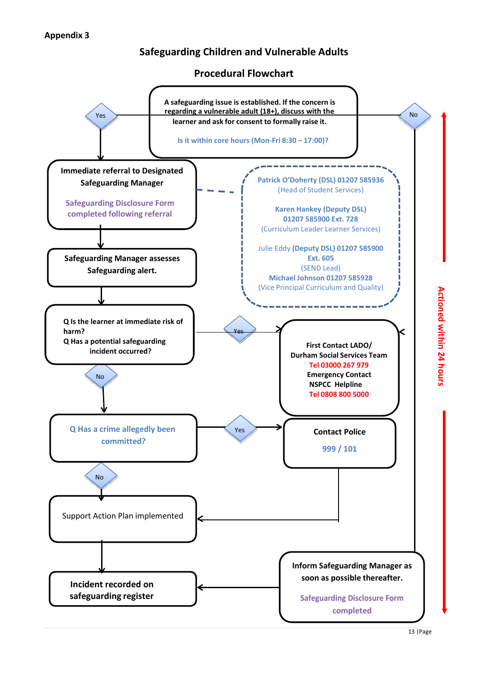## **Safeguarding Children and Vulnerable Adults**

## **Procedural Flowchart**